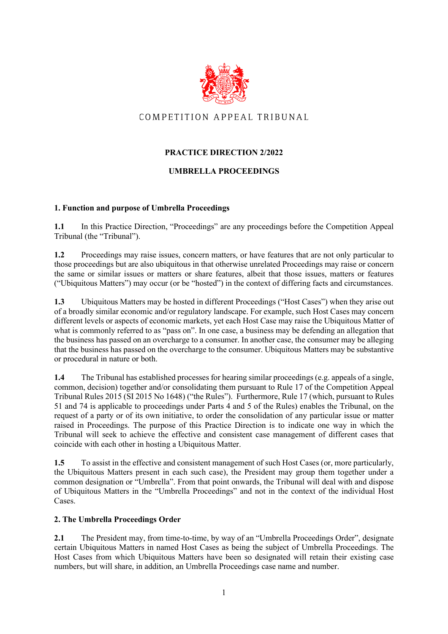

# COMPETITION APPEAL TRIBUNAL

# **PRACTICE DIRECTION 2/2022**

## **UMBRELLA PROCEEDINGS**

#### **1. Function and purpose of Umbrella Proceedings**

1.1 In this Practice Direction, "Proceedings" are any proceedings before the Competition Appeal Tribunal (the "Tribunal").

**1.2** Proceedings may raise issues, concern matters, or have features that are not only particular to those proceedings but are also ubiquitous in that otherwise unrelated Proceedings may raise or concern the same or similar issues or matters or share features, albeit that those issues, matters or features ("Ubiquitous Matters") may occur (or be "hosted") in the context of differing facts and circumstances.

**1.3** Ubiquitous Matters may be hosted in different Proceedings ("Host Cases") when they arise out of a broadly similar economic and/or regulatory landscape. For example, such Host Cases may concern different levels or aspects of economic markets, yet each Host Case may raise the Ubiquitous Matter of what is commonly referred to as "pass on". In one case, a business may be defending an allegation that the business has passed on an overcharge to a consumer. In another case, the consumer may be alleging that the business has passed on the overcharge to the consumer. Ubiquitous Matters may be substantive or procedural in nature or both.

**1.4** The Tribunal has established processes for hearing similar proceedings (e.g. appeals of a single, common, decision) together and/or consolidating them pursuant to Rule 17 of the Competition Appeal Tribunal Rules 2015 (SI 2015 No 1648) ("the Rules"). Furthermore, Rule 17 (which, pursuant to Rules 51 and 74 is applicable to proceedings under Parts 4 and 5 of the Rules) enables the Tribunal, on the request of a party or of its own initiative, to order the consolidation of any particular issue or matter raised in Proceedings. The purpose of this Practice Direction is to indicate one way in which the Tribunal will seek to achieve the effective and consistent case management of different cases that coincide with each other in hosting a Ubiquitous Matter.

**1.5** To assist in the effective and consistent management of such Host Cases (or, more particularly, the Ubiquitous Matters present in each such case), the President may group them together under a common designation or "Umbrella". From that point onwards, the Tribunal will deal with and dispose of Ubiquitous Matters in the "Umbrella Proceedings" and not in the context of the individual Host Cases.

## **2. The Umbrella Proceedings Order**

**2.1** The President may, from time-to-time, by way of an "Umbrella Proceedings Order", designate certain Ubiquitous Matters in named Host Cases as being the subject of Umbrella Proceedings. The Host Cases from which Ubiquitous Matters have been so designated will retain their existing case numbers, but will share, in addition, an Umbrella Proceedings case name and number.